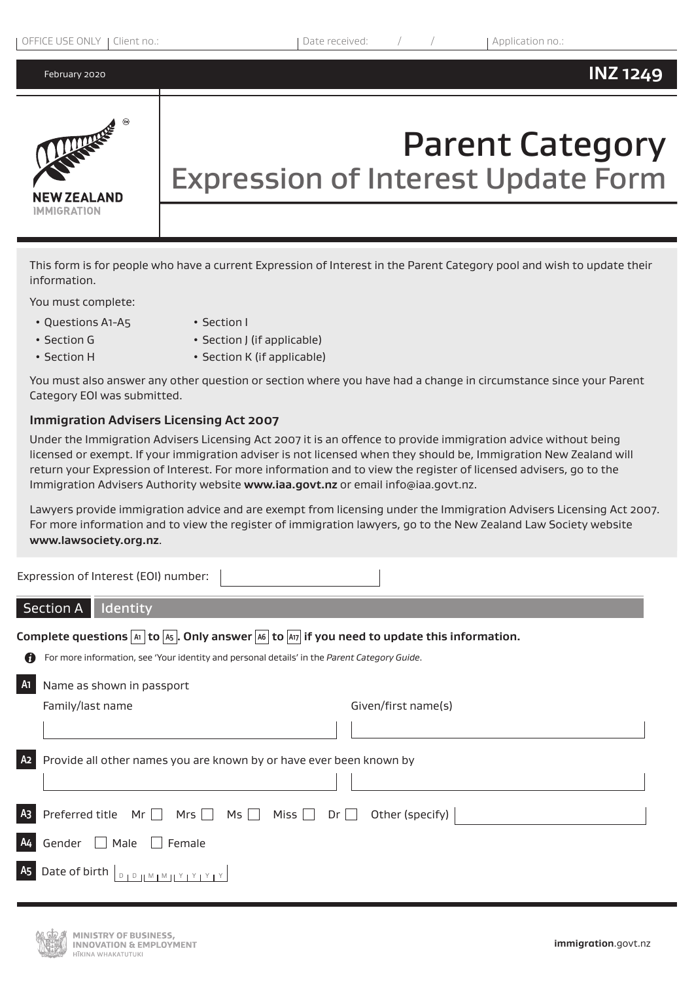

# Parent Category Expression of Interest Update Form

This form is for people who have a current Expression of Interest in the Parent Category pool and wish to update their information.

You must complete:

• Questions A1-A5 • Section I

- Section G Section J (if applicable)
- Section H Section K (if applicable)

You must also answer any other question or section where you have had a change in circumstance since your Parent Category EOI was submitted.

## **Immigration Advisers Licensing Act 2007**

Under the Immigration Advisers Licensing Act 2007 it is an offence to provide immigration advice without being licensed or exempt. If your immigration adviser is not licensed when they should be, Immigration New Zealand will return your Expression of Interest. For more information and to view the register of licensed advisers, go to the Immigration Advisers Authority website **www.iaa.govt.nz** or email info@iaa.govt.nz.

Lawyers provide immigration advice and are exempt from licensing under the Immigration Advisers Licensing Act 2007. For more information and to view the register of immigration lawyers, go to the New Zealand Law Society website **www.lawsociety.org.nz**.

Expression of Interest (EOI) number:

# Section A | Identity

**Complete questions A1 to A5 . Only answer A6 to A17 if you need to update this information.**

For more information, see 'Your identity and personal details' in the *Parent Category Guide*.

#### **A1** Name as shown in passport

| Family/last name                                                                | Given/first name(s) |
|---------------------------------------------------------------------------------|---------------------|
|                                                                                 |                     |
| A2 Provide all other names you are known by or have ever been known by          |                     |
|                                                                                 |                     |
| A3 Preferred title $Mr \Box Mr \Box Ms \Box Miss \Box Dr \Box Other (specific)$ |                     |
| A4 Gender Male<br>$\Box$ Female                                                 |                     |
| A <sub>5</sub> Date of birth                                                    |                     |

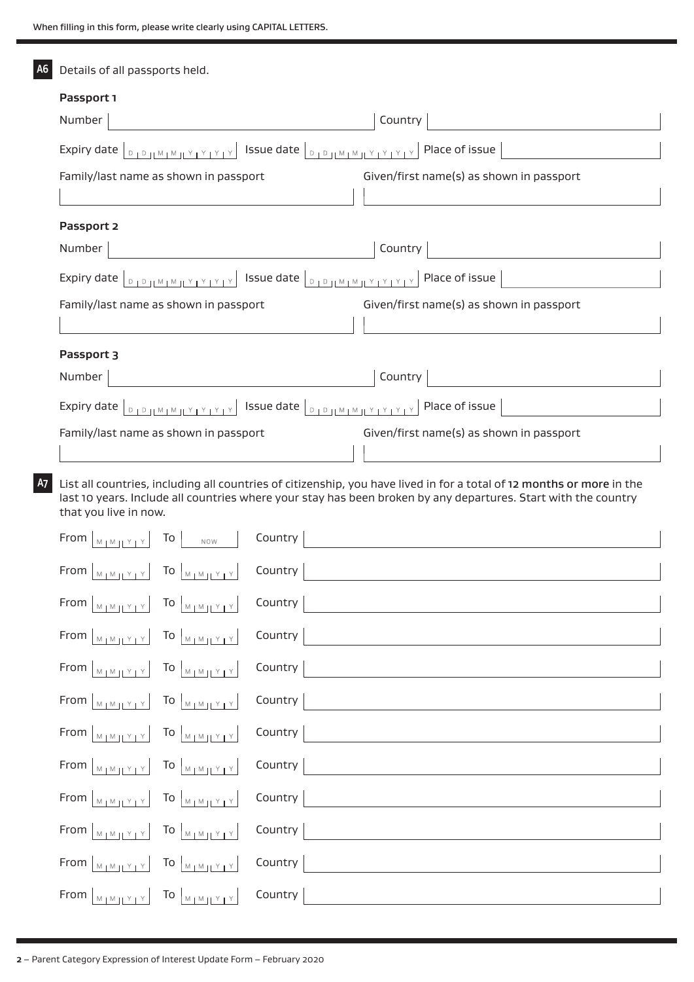| А6 | Details of all passports held.                                                                                                                                                                                                                                                                                                                                                                                                                |
|----|-----------------------------------------------------------------------------------------------------------------------------------------------------------------------------------------------------------------------------------------------------------------------------------------------------------------------------------------------------------------------------------------------------------------------------------------------|
|    | Passport 1                                                                                                                                                                                                                                                                                                                                                                                                                                    |
|    | Number<br>Country                                                                                                                                                                                                                                                                                                                                                                                                                             |
|    | Expiry date  <br>$\begin{array}{c c} \mathbf{D} & \mathbf{D} & \mathbf{D} & \mathbf{M} & \mathbf{M} & \mathbf{M} & \mathbf{M} & \mathbf{M} & \mathbf{M} & \mathbf{M} & \mathbf{M} & \mathbf{M} & \mathbf{M} & \mathbf{M} & \mathbf{M} & \mathbf{M} & \mathbf{M} & \mathbf{M} & \mathbf{M} & \mathbf{M} & \mathbf{M} & \mathbf{M} & \mathbf{M} & \mathbf{M} & \mathbf{M} & \mathbf{M} & \mathbf{M} & \mathbf{M} & \mathbf{M} & \mathbf{M} & \$ |
|    | Given/first name(s) as shown in passport<br>Family/last name as shown in passport                                                                                                                                                                                                                                                                                                                                                             |
|    |                                                                                                                                                                                                                                                                                                                                                                                                                                               |
|    | Passport 2                                                                                                                                                                                                                                                                                                                                                                                                                                    |
|    | Country<br>Number                                                                                                                                                                                                                                                                                                                                                                                                                             |
|    | Expiry date $\lfloor_{D_1D_2\rfloor M_1M_1\rfloor Y_1Y_1Y_1Y_1}\rfloor$ Issue date $\lfloor_{D_1D_1\lfloor M_1M_1\rfloor Y_1Y_1Y_1Y_1}\rfloor$ Place of issue                                                                                                                                                                                                                                                                                 |
|    | Given/first name(s) as shown in passport<br>Family/last name as shown in passport                                                                                                                                                                                                                                                                                                                                                             |
|    |                                                                                                                                                                                                                                                                                                                                                                                                                                               |
|    | Passport 3                                                                                                                                                                                                                                                                                                                                                                                                                                    |
|    | Country<br>Number                                                                                                                                                                                                                                                                                                                                                                                                                             |
|    | Expiry date $ _{\mathbb{D}_1\mathbb{D}_1(M_1M_1)Y_1Y_1Y_1Y_1} \mathbb{D}_2$ issue date $ _{\mathbb{D}_1\mathbb{D}_1(M_1M_1)Y_1Y_1Y_1Y_1} \mathbb{D}_3$ Place of issue                                                                                                                                                                                                                                                                         |
|    | Given/first name(s) as shown in passport<br>Family/last name as shown in passport                                                                                                                                                                                                                                                                                                                                                             |
|    |                                                                                                                                                                                                                                                                                                                                                                                                                                               |
| A7 | List all countries, including all countries of citizenship, you have lived in for a total of 12 months or more in the<br>last 10 years. Include all countries where your stay has been broken by any departures. Start with the country<br>that you live in now.                                                                                                                                                                              |
|    | Country<br>From $ $<br>To<br>$M_1M_{11}$<br>NOW                                                                                                                                                                                                                                                                                                                                                                                               |
|    | Country<br>From                                                                                                                                                                                                                                                                                                                                                                                                                               |
|    | Country<br>From $\begin{bmatrix} M_1M_1Y_1Y \end{bmatrix}$ To $\begin{bmatrix} M_1M_1Y_1Y \end{bmatrix}$                                                                                                                                                                                                                                                                                                                                      |
|    | Country<br>From $\begin{bmatrix} M & N & N \\ N & N & N \end{bmatrix}$ To $\begin{bmatrix} M & N & N \\ N & N & N \end{bmatrix}$                                                                                                                                                                                                                                                                                                              |
|    | Country<br>From $ _{M_1M_2Y_1Y}$ To $ _{M_1M_1Y_1Y}$                                                                                                                                                                                                                                                                                                                                                                                          |
|    | Country<br>From $\begin{bmatrix} M_1M_1Y_1Y \end{bmatrix}$ To $\begin{bmatrix} M_1M_1Y_1Y \end{bmatrix}$                                                                                                                                                                                                                                                                                                                                      |
|    | Country<br>From $\begin{bmatrix} M_1M_1Y_1Y \end{bmatrix}$ To $\begin{bmatrix} M_1M_1Y_1Y \end{bmatrix}$                                                                                                                                                                                                                                                                                                                                      |

| From $ _{M_1M_1 Y_1Y} $ To $ _{M_1M_1 Y_1Y} $ Country $ $                                                                                                                                                           |  |
|---------------------------------------------------------------------------------------------------------------------------------------------------------------------------------------------------------------------|--|
| From $ _{M_1M_1 Y_1Y}$ To $ _{M_1M_1 Y_1Y}$ Country                                                                                                                                                                 |  |
| From $\left[\begin{array}{c c c c} \mathbb{N}_{1} & \mathbb{N}_{1} & \mathbb{N}_{1} \end{array}\right]$ To $\left[\begin{array}{c c c} \mathbb{N}_{1} & \mathbb{N}_{1} & \mathbb{N}_{1} \end{array}\right]$ Country |  |
| From $ _{M_1M_1 Y_1Y}$ To $ _{M_1M_1 Y_1Y}$ Country                                                                                                                                                                 |  |
| From $ _{M_1M_1 Y_1Y} $ To $ _{M_1M_1 Y_1Y} $ Country $ $                                                                                                                                                           |  |
| From $ _{M_1M_1 Y_1Y} $ To $ _{M_1M_1 Y_1Y} $ Country $ $                                                                                                                                                           |  |

**2** – Parent Category Expression of Interest Update Form – February 2020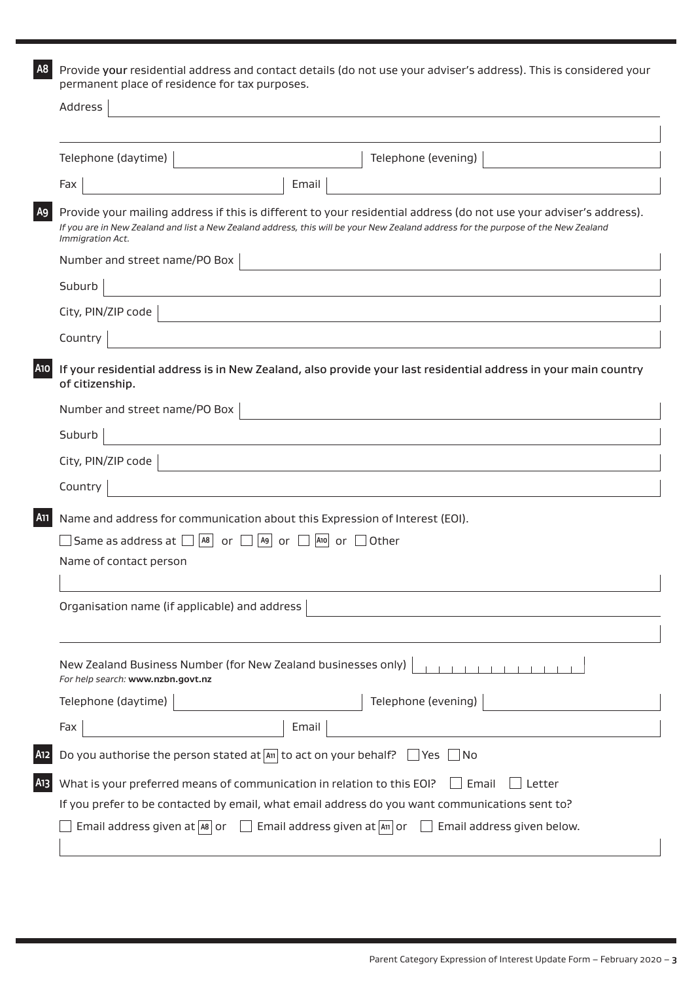**A8** Provide your residential address and contact details (do not use your adviser's address). This is considered your permanent place of residence for tax purposes.

|     | Address                                                                                                                                                                                                                                                                      |  |  |
|-----|------------------------------------------------------------------------------------------------------------------------------------------------------------------------------------------------------------------------------------------------------------------------------|--|--|
|     |                                                                                                                                                                                                                                                                              |  |  |
|     | Telephone (daytime)<br>Telephone (evening)                                                                                                                                                                                                                                   |  |  |
|     | Email<br>Fax                                                                                                                                                                                                                                                                 |  |  |
| A9  | Provide your mailing address if this is different to your residential address (do not use your adviser's address).<br>If you are in New Zealand and list a New Zealand address, this will be your New Zealand address for the purpose of the New Zealand<br>Immigration Act. |  |  |
|     | Number and street name/PO Box                                                                                                                                                                                                                                                |  |  |
|     | Suburb                                                                                                                                                                                                                                                                       |  |  |
|     | City, PIN/ZIP code                                                                                                                                                                                                                                                           |  |  |
|     | Country                                                                                                                                                                                                                                                                      |  |  |
| A10 | If your residential address is in New Zealand, also provide your last residential address in your main country<br>of citizenship.                                                                                                                                            |  |  |
|     | Number and street name/PO Box                                                                                                                                                                                                                                                |  |  |
|     | Suburb                                                                                                                                                                                                                                                                       |  |  |
|     | City, PIN/ZIP code                                                                                                                                                                                                                                                           |  |  |
|     | Country                                                                                                                                                                                                                                                                      |  |  |
| A11 | Name and address for communication about this Expression of Interest (EOI).                                                                                                                                                                                                  |  |  |
|     | $\Box$  A9  or $\Box$  A10  or $\Box$ Other<br>A8<br>Same as address at $\Box$<br>or                                                                                                                                                                                         |  |  |
|     | Name of contact person                                                                                                                                                                                                                                                       |  |  |
|     |                                                                                                                                                                                                                                                                              |  |  |
|     | Organisation name (if applicable) and address                                                                                                                                                                                                                                |  |  |
|     |                                                                                                                                                                                                                                                                              |  |  |
|     | New Zealand Business Number (for New Zealand businesses only)<br>For help search: www.nzbn.govt.nz                                                                                                                                                                           |  |  |
|     | Telephone (daytime)<br>Telephone (evening)                                                                                                                                                                                                                                   |  |  |
|     | Email<br>Fax                                                                                                                                                                                                                                                                 |  |  |
| A12 | Do you authorise the person stated at $\boxed{4\pi}$ to act on your behalf? $\Box$ Yes $\Box$ No                                                                                                                                                                             |  |  |
| A13 | What is your preferred means of communication in relation to this EOI?<br>Email<br>Letter                                                                                                                                                                                    |  |  |
|     | If you prefer to be contacted by email, what email address do you want communications sent to?                                                                                                                                                                               |  |  |
|     | Email address given at $\boxed{AB}$ or $\boxed{ }$ Email address given at $\boxed{AB}$ or $\boxed{ }$ Email address given below.                                                                                                                                             |  |  |
|     |                                                                                                                                                                                                                                                                              |  |  |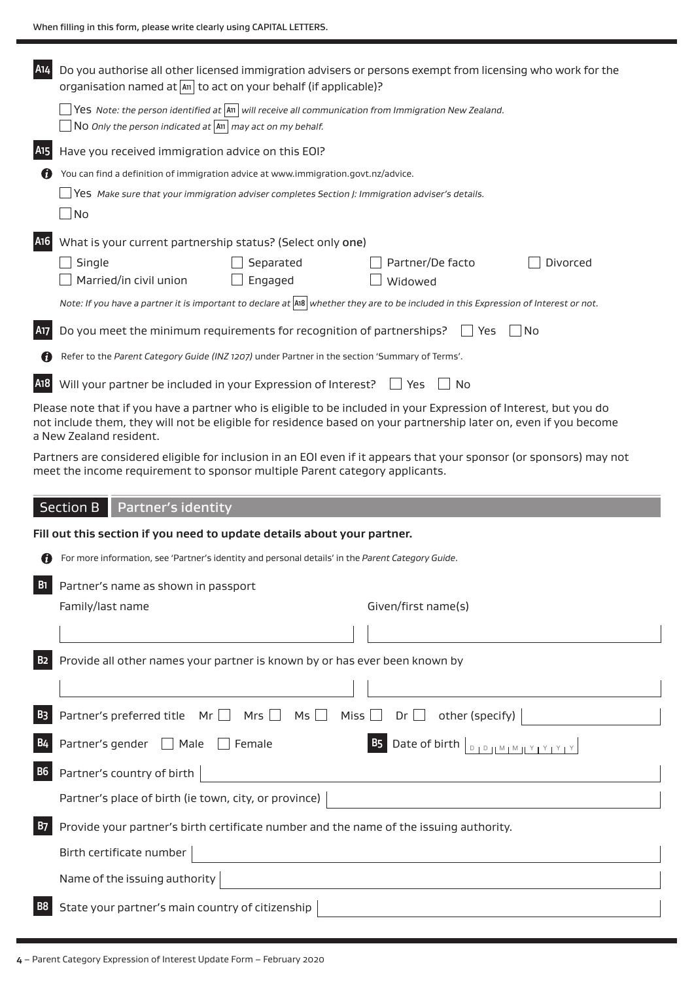| A14                   | Do you authorise all other licensed immigration advisers or persons exempt from licensing who work for the<br>organisation named at $\vert$ and to act on your behalf (if applicable)?                                                                          |  |  |
|-----------------------|-----------------------------------------------------------------------------------------------------------------------------------------------------------------------------------------------------------------------------------------------------------------|--|--|
|                       | Yes Note: the person identified at $ \text{All}$ will receive all communication from Immigration New Zealand.<br>$\Box$ N0 Only the person indicated at $\vert$ A11 $\vert$ may act on my behalf.                                                               |  |  |
| A <sub>15</sub>       | Have you received immigration advice on this EOI?                                                                                                                                                                                                               |  |  |
| n                     | You can find a definition of immigration advice at www.immigration.govt.nz/advice.                                                                                                                                                                              |  |  |
|                       | Yes Make sure that your immigration adviser completes Section J: Immigration adviser's details.                                                                                                                                                                 |  |  |
|                       | $\Box$ No                                                                                                                                                                                                                                                       |  |  |
| A <sub>16</sub>       | What is your current partnership status? (Select only one)                                                                                                                                                                                                      |  |  |
|                       | Single<br>Separated<br>Partner/De facto<br>Divorced<br>Engaged<br>Married/in civil union<br>Widowed                                                                                                                                                             |  |  |
|                       | Note: If you have a partner it is important to declare at $ AB $ whether they are to be included in this Expression of Interest or not.                                                                                                                         |  |  |
| A17                   | Do you meet the minimum requirements for recognition of partnerships?<br><b>No</b><br>Yes                                                                                                                                                                       |  |  |
| a                     | Refer to the Parent Category Guide (INZ 1207) under Partner in the section 'Summary of Terms'.                                                                                                                                                                  |  |  |
| A <sub>1</sub> 8      | Will your partner be included in your Expression of Interest? $\Box$ Yes<br>No                                                                                                                                                                                  |  |  |
|                       | Please note that if you have a partner who is eligible to be included in your Expression of Interest, but you do<br>not include them, they will not be eligible for residence based on your partnership later on, even if you become<br>a New Zealand resident. |  |  |
|                       | Partners are considered eligible for inclusion in an EOI even if it appears that your sponsor (or sponsors) may not<br>meet the income requirement to sponsor multiple Parent category applicants.                                                              |  |  |
|                       |                                                                                                                                                                                                                                                                 |  |  |
|                       | <b>Section B</b><br>Partner's identity                                                                                                                                                                                                                          |  |  |
|                       | Fill out this section if you need to update details about your partner.                                                                                                                                                                                         |  |  |
|                       | For more information, see 'Partner's identity and personal details' in the Parent Category Guide.                                                                                                                                                               |  |  |
| <b>B</b> <sub>1</sub> |                                                                                                                                                                                                                                                                 |  |  |
|                       | Partner's name as shown in passport<br>Family/last name<br>Given/first name(s)                                                                                                                                                                                  |  |  |
|                       |                                                                                                                                                                                                                                                                 |  |  |
|                       |                                                                                                                                                                                                                                                                 |  |  |
| <b>B2</b>             | Provide all other names your partner is known by or has ever been known by                                                                                                                                                                                      |  |  |
|                       |                                                                                                                                                                                                                                                                 |  |  |
| B <sub>3</sub>        | Partner's preferred title $Mr \Box$ Mrs $\Box$ Ms $\Box$<br>Miss [<br>$\Box$ Dr $\Box$ other (specify)                                                                                                                                                          |  |  |
| <b>B4</b>             | Partner's gender □ Male<br>$\Box$ Female                                                                                                                                                                                                                        |  |  |
| <b>B6</b>             | Partner's country of birth                                                                                                                                                                                                                                      |  |  |
|                       | Partner's place of birth (ie town, city, or province)                                                                                                                                                                                                           |  |  |
| <b>B7</b>             | Provide your partner's birth certificate number and the name of the issuing authority.                                                                                                                                                                          |  |  |
|                       | Birth certificate number                                                                                                                                                                                                                                        |  |  |
|                       | <u> 1989 - Johann Stoff, Amerikaansk politiker (</u><br>Name of the issuing authority                                                                                                                                                                           |  |  |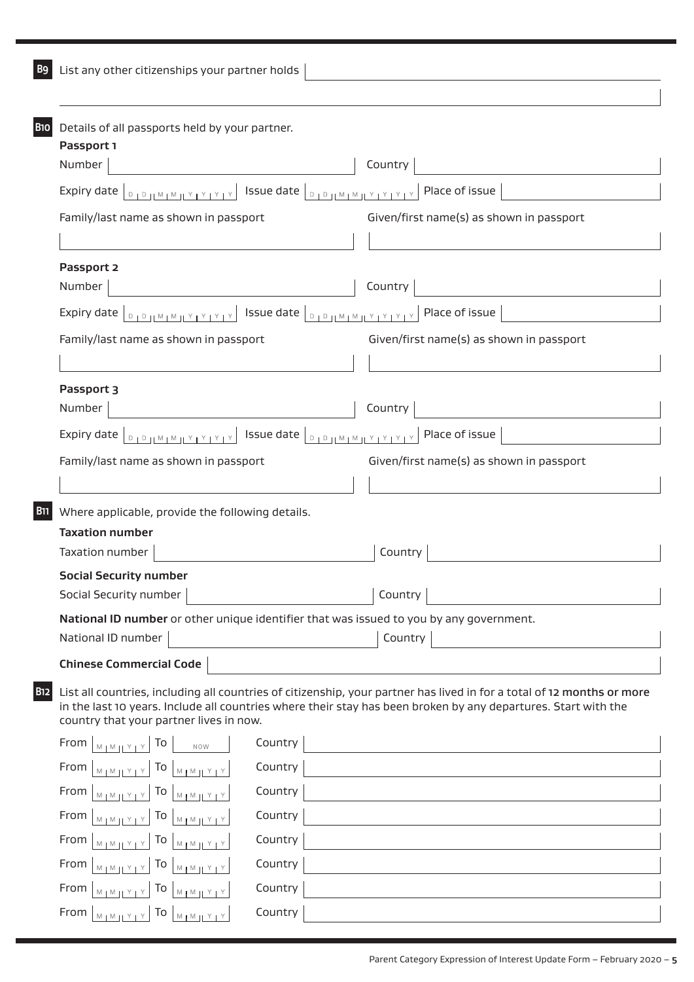|  |  |  | B9 List any other citizenships your partner holds |  |  |  |
|--|--|--|---------------------------------------------------|--|--|--|
|--|--|--|---------------------------------------------------|--|--|--|

| Country                                                                                                                                                                                                                                  |
|------------------------------------------------------------------------------------------------------------------------------------------------------------------------------------------------------------------------------------------|
| Expiry date $\lfloor_{\square_1\square_1 M_1M_1 Y_1Y_1Y_1Y_1} \rfloor$ Issue date $\lfloor_{\square_1\square_1 M_1M_1 Y_1Y_1Y_1Y_1} \rfloor$<br>Place of issue                                                                           |
| Given/first name(s) as shown in passport                                                                                                                                                                                                 |
|                                                                                                                                                                                                                                          |
|                                                                                                                                                                                                                                          |
| Country                                                                                                                                                                                                                                  |
| Place of issue                                                                                                                                                                                                                           |
| Given/first name(s) as shown in passport                                                                                                                                                                                                 |
|                                                                                                                                                                                                                                          |
|                                                                                                                                                                                                                                          |
| Country                                                                                                                                                                                                                                  |
| <b>DIDJIMIMIYIYIYIY</b> Issue date <b>DIDJIMIMIYIYIYIY</b><br>Place of issue                                                                                                                                                             |
| Given/first name(s) as shown in passport                                                                                                                                                                                                 |
|                                                                                                                                                                                                                                          |
|                                                                                                                                                                                                                                          |
|                                                                                                                                                                                                                                          |
| Country                                                                                                                                                                                                                                  |
|                                                                                                                                                                                                                                          |
| Country                                                                                                                                                                                                                                  |
|                                                                                                                                                                                                                                          |
| National ID number or other unique identifier that was issued to you by any government.<br>Country                                                                                                                                       |
|                                                                                                                                                                                                                                          |
|                                                                                                                                                                                                                                          |
| List all countries, including all countries of citizenship, your partner has lived in for a total of 12 months or more<br>in the last 10 years. Include all countries where their stay has been broken by any departures. Start with the |
|                                                                                                                                                                                                                                          |
|                                                                                                                                                                                                                                          |
|                                                                                                                                                                                                                                          |
|                                                                                                                                                                                                                                          |
|                                                                                                                                                                                                                                          |
|                                                                                                                                                                                                                                          |
|                                                                                                                                                                                                                                          |
|                                                                                                                                                                                                                                          |
|                                                                                                                                                                                                                                          |
|                                                                                                                                                                                                                                          |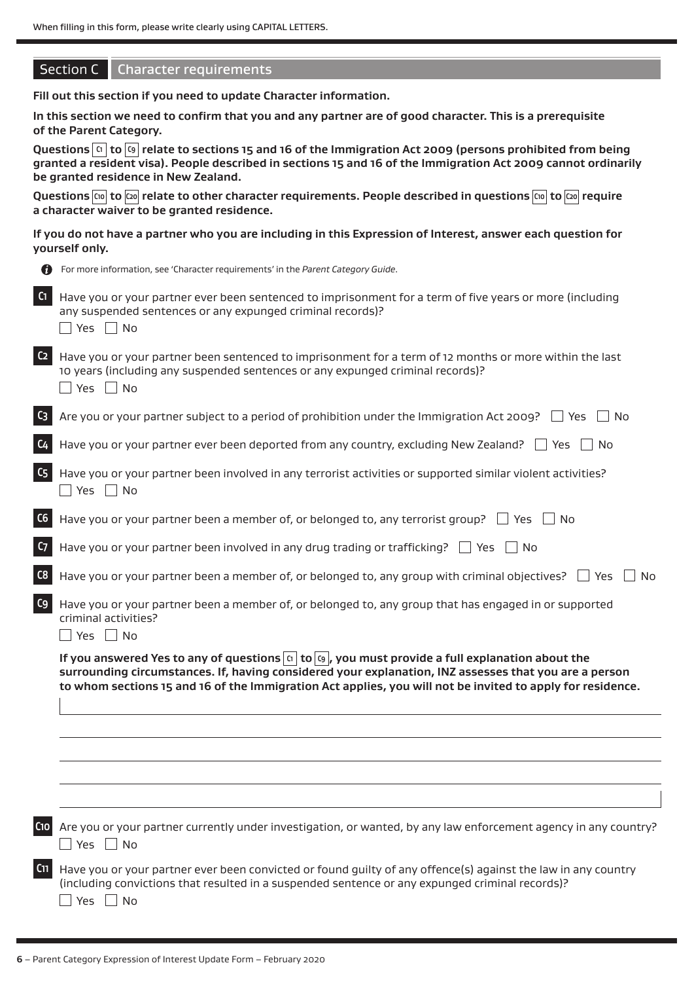# Section C | Character requirements

**Fill out this section if you need to update Character information.**

**In this section we need to confirm that you and any partner are of good character. This is a prerequisite of the Parent Category.**

**Questions C1 to C9 relate to sections 15 and 16 of the Immigration Act 2009 (persons prohibited from being granted a resident visa). People described in sections 15 and 16 of the Immigration Act 2009 cannot ordinarily be granted residence in New Zealand.**

Questions **C10** to  $\overline{C_0}$  relate to other character requirements. People described in questions  $\overline{C_0}$  to  $\overline{C_2}$  require **a character waiver to be granted residence.** 

**If you do not have a partner who you are including in this Expression of Interest, answer each question for yourself only.**

|                           | yourself only.                                                                                                                                                                                                                                                                                                                      |
|---------------------------|-------------------------------------------------------------------------------------------------------------------------------------------------------------------------------------------------------------------------------------------------------------------------------------------------------------------------------------|
|                           | For more information, see 'Character requirements' in the Parent Category Guide.                                                                                                                                                                                                                                                    |
| C1                        | Have you or your partner ever been sentenced to imprisonment for a term of five years or more (including<br>any suspended sentences or any expunged criminal records)?<br>$\Box$ Yes $\Box$ No                                                                                                                                      |
| C <sub>2</sub>            | Have you or your partner been sentenced to imprisonment for a term of 12 months or more within the last<br>10 years (including any suspended sentences or any expunged criminal records)?<br>Yes $\Box$ No                                                                                                                          |
| $C_3$                     | Are you or your partner subject to a period of prohibition under the Immigration Act 2009? $\Box$ Yes<br>  No                                                                                                                                                                                                                       |
| C <sub>4</sub>            | Have you or your partner ever been deported from any country, excluding New Zealand? $\Box$ Yes $\Box$ No                                                                                                                                                                                                                           |
| $\mathsf{G}_{\mathsf{S}}$ | Have you or your partner been involved in any terrorist activities or supported similar violent activities?<br>$\Box$ Yes $\Box$ No                                                                                                                                                                                                 |
| C6                        | Have you or your partner been a member of, or belonged to, any terrorist group? $\Box$ Yes<br>l No                                                                                                                                                                                                                                  |
| C <sub>7</sub>            | Have you or your partner been involved in any drug trading or trafficking? $\Box$ Yes $\Box$ No                                                                                                                                                                                                                                     |
| C8                        | Have you or your partner been a member of, or belonged to, any group with criminal objectives? $\Box$ Yes<br>No                                                                                                                                                                                                                     |
| C <sub>9</sub>            | Have you or your partner been a member of, or belonged to, any group that has engaged in or supported<br>criminal activities?<br>$\Box$ Yes $\Box$ No                                                                                                                                                                               |
|                           | If you answered Yes to any of questions $\alpha$ to $\alpha$ , you must provide a full explanation about the<br>surrounding circumstances. If, having considered your explanation, INZ assesses that you are a person<br>to whom sections 15 and 16 of the Immigration Act applies, you will not be invited to apply for residence. |
|                           |                                                                                                                                                                                                                                                                                                                                     |
|                           |                                                                                                                                                                                                                                                                                                                                     |
|                           |                                                                                                                                                                                                                                                                                                                                     |
| C <sub>10</sub>           | Are you or your partner currently under investigation, or wanted, by any law enforcement agency in any country?<br>$\Box$ Yes $\Box$ No                                                                                                                                                                                             |
| C <sub>11</sub>           | Have you or your partner ever been convicted or found guilty of any offence(s) against the law in any country<br>(including convictions that resulted in a suspended sentence or any expunged criminal records)?<br>No<br>Yes                                                                                                       |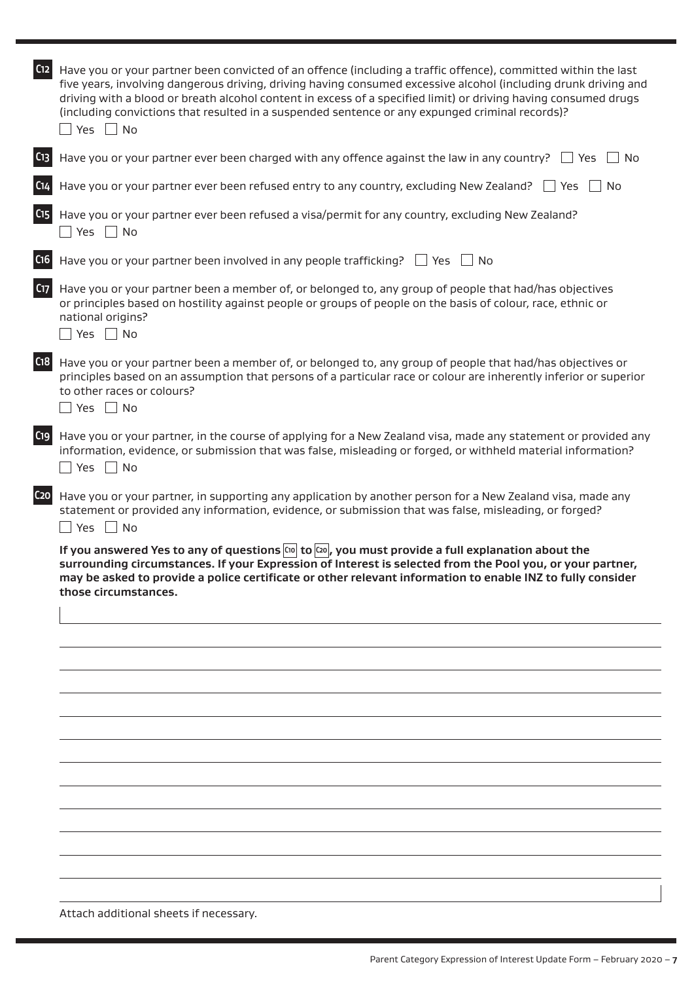| C12             | Have you or your partner been convicted of an offence (including a traffic offence), committed within the last<br>five years, involving dangerous driving, driving having consumed excessive alcohol (including drunk driving and<br>driving with a blood or breath alcohol content in excess of a specified limit) or driving having consumed drugs<br>(including convictions that resulted in a suspended sentence or any expunged criminal records)?<br>$\Box$ Yes $\Box$ No |
|-----------------|---------------------------------------------------------------------------------------------------------------------------------------------------------------------------------------------------------------------------------------------------------------------------------------------------------------------------------------------------------------------------------------------------------------------------------------------------------------------------------|
| C <sub>13</sub> | Have you or your partner ever been charged with any offence against the law in any country? $\Box$ Yes<br>$\Box$ No                                                                                                                                                                                                                                                                                                                                                             |
| C <sub>14</sub> | Have you or your partner ever been refused entry to any country, excluding New Zealand?<br>l Yes<br>No                                                                                                                                                                                                                                                                                                                                                                          |
| C <sub>15</sub> | Have you or your partner ever been refused a visa/permit for any country, excluding New Zealand?<br>$\Box$ Yes $\Box$ No                                                                                                                                                                                                                                                                                                                                                        |
| C <sub>16</sub> | Have you or your partner been involved in any people trafficking? $\Box$ Yes $\Box$ No                                                                                                                                                                                                                                                                                                                                                                                          |
| C17             | Have you or your partner been a member of, or belonged to, any group of people that had/has objectives<br>or principles based on hostility against people or groups of people on the basis of colour, race, ethnic or<br>national origins?<br>$\Box$ Yes $\Box$ No                                                                                                                                                                                                              |
| C <sub>18</sub> | Have you or your partner been a member of, or belonged to, any group of people that had/has objectives or<br>principles based on an assumption that persons of a particular race or colour are inherently inferior or superior<br>to other races or colours?<br>$\Box$ Yes $\Box$ No                                                                                                                                                                                            |
| C19             | Have you or your partner, in the course of applying for a New Zealand visa, made any statement or provided any<br>information, evidence, or submission that was false, misleading or forged, or withheld material information?<br>$\Box$ Yes $\Box$ No                                                                                                                                                                                                                          |
| C <sub>20</sub> | Have you or your partner, in supporting any application by another person for a New Zealand visa, made any<br>statement or provided any information, evidence, or submission that was false, misleading, or forged?<br>$\Box$ Yes $\Box$ No                                                                                                                                                                                                                                     |
|                 | surrounding circumstances. If your Expression of Interest is selected from the Pool you, or your partner,<br>may be asked to provide a police certificate or other relevant information to enable INZ to fully consider<br>those circumstances.                                                                                                                                                                                                                                 |
|                 |                                                                                                                                                                                                                                                                                                                                                                                                                                                                                 |
|                 |                                                                                                                                                                                                                                                                                                                                                                                                                                                                                 |
|                 |                                                                                                                                                                                                                                                                                                                                                                                                                                                                                 |
|                 |                                                                                                                                                                                                                                                                                                                                                                                                                                                                                 |
|                 |                                                                                                                                                                                                                                                                                                                                                                                                                                                                                 |
|                 |                                                                                                                                                                                                                                                                                                                                                                                                                                                                                 |
|                 |                                                                                                                                                                                                                                                                                                                                                                                                                                                                                 |
|                 |                                                                                                                                                                                                                                                                                                                                                                                                                                                                                 |
|                 |                                                                                                                                                                                                                                                                                                                                                                                                                                                                                 |
|                 |                                                                                                                                                                                                                                                                                                                                                                                                                                                                                 |
|                 |                                                                                                                                                                                                                                                                                                                                                                                                                                                                                 |
|                 |                                                                                                                                                                                                                                                                                                                                                                                                                                                                                 |
|                 | Attach additional sheets if necessary.                                                                                                                                                                                                                                                                                                                                                                                                                                          |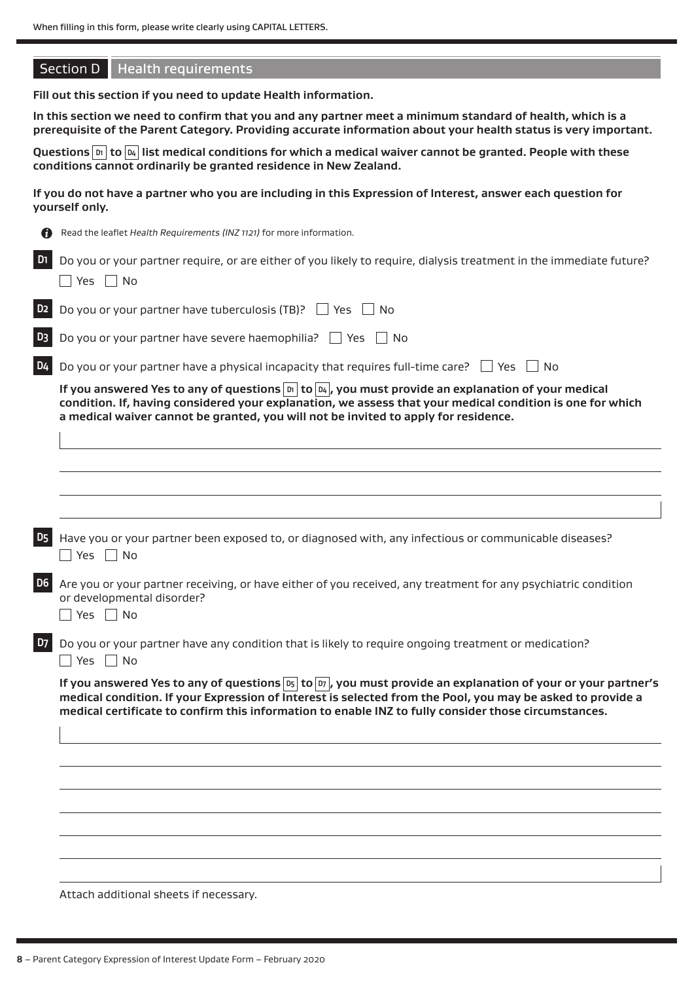|                | <b>Section D</b> Health requirements                                                                                                                                                                                                                                                                                                                     |
|----------------|----------------------------------------------------------------------------------------------------------------------------------------------------------------------------------------------------------------------------------------------------------------------------------------------------------------------------------------------------------|
|                | Fill out this section if you need to update Health information.                                                                                                                                                                                                                                                                                          |
|                | In this section we need to confirm that you and any partner meet a minimum standard of health, which is a<br>prerequisite of the Parent Category. Providing accurate information about your health status is very important.                                                                                                                             |
|                | Questions $\boxed{p_1}$ to $\boxed{p_4}$ list medical conditions for which a medical waiver cannot be granted. People with these<br>conditions cannot ordinarily be granted residence in New Zealand.                                                                                                                                                    |
|                | If you do not have a partner who you are including in this Expression of Interest, answer each question for<br>yourself only.                                                                                                                                                                                                                            |
|                | Read the leaflet Health Requirements (INZ 1121) for more information.                                                                                                                                                                                                                                                                                    |
|                | Do you or your partner require, or are either of you likely to require, dialysis treatment in the immediate future?<br>$\Box$ Yes $\Box$ No                                                                                                                                                                                                              |
| D <sub>2</sub> | Do you or your partner have tuberculosis (TB)? $\Box$ Yes $\Box$ No                                                                                                                                                                                                                                                                                      |
| D <sub>3</sub> | Do you or your partner have severe haemophilia? $\Box$ Yes $\Box$ No                                                                                                                                                                                                                                                                                     |
| D <sub>4</sub> | Do you or your partner have a physical incapacity that requires full-time care? $\Box$ Yes<br>l No                                                                                                                                                                                                                                                       |
|                | If you answered Yes to any of questions $ b  \log  b $ , you must provide an explanation of your medical<br>condition. If, having considered your explanation, we assess that your medical condition is one for which<br>a medical waiver cannot be granted, you will not be invited to apply for residence.                                             |
| <b>D5</b>      | Have you or your partner been exposed to, or diagnosed with, any infectious or communicable diseases?                                                                                                                                                                                                                                                    |
|                | No<br>Yes                                                                                                                                                                                                                                                                                                                                                |
| D <sub>6</sub> | Are you or your partner receiving, or have either of you received, any treatment for any psychiatric condition<br>or developmental disorder?<br>$\Box$ Yes $\Box$ No                                                                                                                                                                                     |
| <b>D7</b>      | Do you or your partner have any condition that is likely to require ongoing treatment or medication?<br>$\sqsupset$ Yes $\sqcap$ No                                                                                                                                                                                                                      |
|                | If you answered Yes to any of questions $\boxed{p_5}$ to $\boxed{p_7}$ , you must provide an explanation of your or your partner's<br>medical condition. If your Expression of Interest is selected from the Pool, you may be asked to provide a<br>medical certificate to confirm this information to enable INZ to fully consider those circumstances. |
|                |                                                                                                                                                                                                                                                                                                                                                          |
|                |                                                                                                                                                                                                                                                                                                                                                          |
|                |                                                                                                                                                                                                                                                                                                                                                          |
|                |                                                                                                                                                                                                                                                                                                                                                          |
|                |                                                                                                                                                                                                                                                                                                                                                          |
|                | Attach additional sheets if necessary.                                                                                                                                                                                                                                                                                                                   |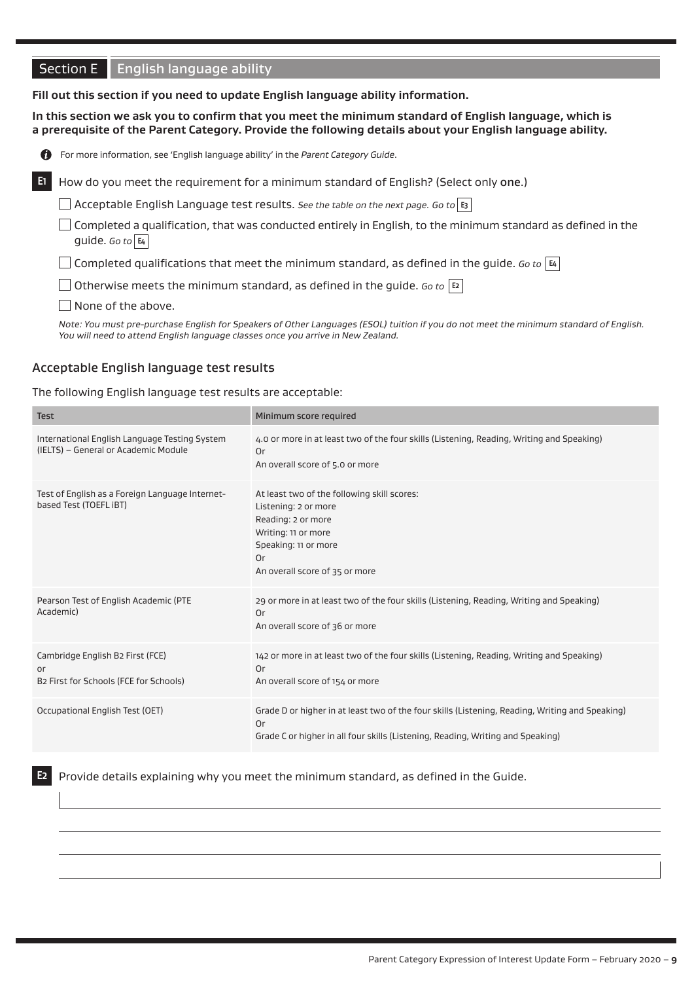# **Section E English language ability**

#### **Fill out this section if you need to update English language ability information.**

**In this section we ask you to confirm that you meet the minimum standard of English language, which is a prerequisite of the Parent Category. Provide the following details about your English language ability.** 

| n  | For more information, see 'English language ability' in the Parent Category Guide.                                                            |
|----|-----------------------------------------------------------------------------------------------------------------------------------------------|
| E1 | How do you meet the requirement for a minimum standard of English? (Select only one.)                                                         |
|    | $\Box$ Acceptable English Language test results. See the table on the next page. Go to $ s $                                                  |
|    | Completed a qualification, that was conducted entirely in English, to the minimum standard as defined in the<br>guide. Go to $ \mathbf{E}_4 $ |
|    | Gompleted qualifications that meet the minimum standard, as defined in the guide. Go to $ \mathbf{z} $                                        |
|    | $\Box$ Otherwise meets the minimum standard, as defined in the guide. Go to $ $ t $\scriptstyle\rm z$ $ $                                     |
|    | None of the above.                                                                                                                            |

*Note: You must pre-purchase English for Speakers of Other Languages (ESOL) tuition if you do not meet the minimum standard of English. You will need to attend English language classes once you arrive in New Zealand.*

#### Acceptable English language test results

#### The following English language test results are acceptable:

| <b>Test</b>                                                                           | Minimum score required                                                                                                                                                                   |
|---------------------------------------------------------------------------------------|------------------------------------------------------------------------------------------------------------------------------------------------------------------------------------------|
| International English Language Testing System<br>(IELTS) - General or Academic Module | 4.0 or more in at least two of the four skills (Listening, Reading, Writing and Speaking)<br>Or<br>An overall score of 5.0 or more                                                       |
| Test of English as a Foreign Language Internet-<br>based Test (TOEFL iBT)             | At least two of the following skill scores:<br>Listening: 2 or more<br>Reading: 2 or more<br>Writing: 11 or more<br>Speaking: 11 or more<br>Or<br>An overall score of 35 or more         |
| Pearson Test of English Academic (PTE<br>Academic)                                    | 29 or more in at least two of the four skills (Listening, Reading, Writing and Speaking)<br>Or<br>An overall score of 36 or more                                                         |
| Cambridge English B2 First (FCE)<br>or<br>B2 First for Schools (FCE for Schools)      | 142 or more in at least two of the four skills (Listening, Reading, Writing and Speaking)<br>Or<br>An overall score of 154 or more                                                       |
| Occupational English Test (OET)                                                       | Grade D or higher in at least two of the four skills (Listening, Reading, Writing and Speaking)<br>0r<br>Grade C or higher in all four skills (Listening, Reading, Writing and Speaking) |

**E2** Provide details explaining why you meet the minimum standard, as defined in the Guide.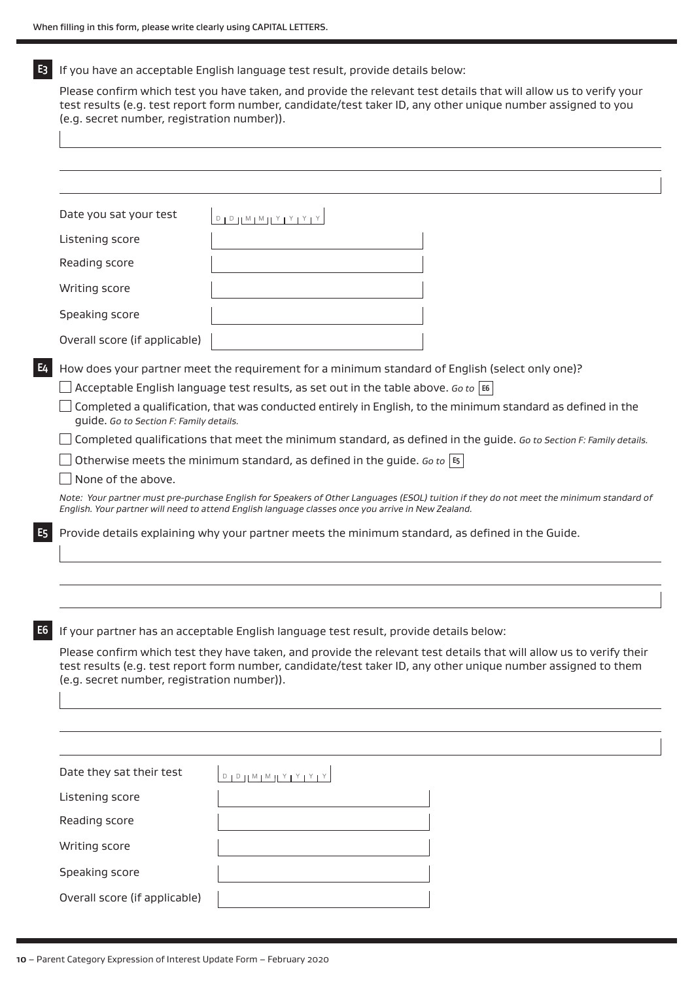**E3** If you have an acceptable English language test result, provide details below:

Please confirm which test you have taken, and provide the relevant test details that will allow us to verify your test results (e.g. test report form number, candidate/test taker ID, any other unique number assigned to you (e.g. secret number, registration number)).

|                                                                                                                                                                                                                                                                                     | Date you sat your test                  | $D + D + M + M + Y + Y + Y + Y$                                                                                                                                                                                                               |  |
|-------------------------------------------------------------------------------------------------------------------------------------------------------------------------------------------------------------------------------------------------------------------------------------|-----------------------------------------|-----------------------------------------------------------------------------------------------------------------------------------------------------------------------------------------------------------------------------------------------|--|
|                                                                                                                                                                                                                                                                                     | Listening score                         |                                                                                                                                                                                                                                               |  |
|                                                                                                                                                                                                                                                                                     | Reading score                           |                                                                                                                                                                                                                                               |  |
|                                                                                                                                                                                                                                                                                     | Writing score                           |                                                                                                                                                                                                                                               |  |
|                                                                                                                                                                                                                                                                                     | Speaking score                          |                                                                                                                                                                                                                                               |  |
|                                                                                                                                                                                                                                                                                     | Overall score (if applicable)           |                                                                                                                                                                                                                                               |  |
| E4                                                                                                                                                                                                                                                                                  |                                         | How does your partner meet the requirement for a minimum standard of English (select only one)?                                                                                                                                               |  |
|                                                                                                                                                                                                                                                                                     |                                         | Acceptable English language test results, as set out in the table above. Go to $\vert$ E6                                                                                                                                                     |  |
|                                                                                                                                                                                                                                                                                     | guide. Go to Section F: Family details. | Completed a qualification, that was conducted entirely in English, to the minimum standard as defined in the                                                                                                                                  |  |
|                                                                                                                                                                                                                                                                                     |                                         | Completed qualifications that meet the minimum standard, as defined in the guide. Go to Section F: Family details.                                                                                                                            |  |
|                                                                                                                                                                                                                                                                                     |                                         | Otherwise meets the minimum standard, as defined in the guide. Go to $ \mathfrak{s} $                                                                                                                                                         |  |
|                                                                                                                                                                                                                                                                                     | None of the above.                      |                                                                                                                                                                                                                                               |  |
|                                                                                                                                                                                                                                                                                     |                                         | Note: Your partner must pre-purchase English for Speakers of Other Languages (ESOL) tuition if they do not meet the minimum standard of<br>English. Your partner will need to attend English language classes once you arrive in New Zealand. |  |
| E5.                                                                                                                                                                                                                                                                                 |                                         | Provide details explaining why your partner meets the minimum standard, as defined in the Guide.                                                                                                                                              |  |
|                                                                                                                                                                                                                                                                                     |                                         |                                                                                                                                                                                                                                               |  |
|                                                                                                                                                                                                                                                                                     |                                         |                                                                                                                                                                                                                                               |  |
|                                                                                                                                                                                                                                                                                     |                                         |                                                                                                                                                                                                                                               |  |
| E6                                                                                                                                                                                                                                                                                  |                                         | If your partner has an acceptable English language test result, provide details below:                                                                                                                                                        |  |
| Please confirm which test they have taken, and provide the relevant test details that will allow us to verify their<br>test results (e.g. test report form number, candidate/test taker ID, any other unique number assigned to them<br>(e.g. secret number, registration number)). |                                         |                                                                                                                                                                                                                                               |  |
|                                                                                                                                                                                                                                                                                     |                                         |                                                                                                                                                                                                                                               |  |
|                                                                                                                                                                                                                                                                                     |                                         |                                                                                                                                                                                                                                               |  |
|                                                                                                                                                                                                                                                                                     | Date they sat their test                | $\begin{tabular}{c c c c c c c c} \hline $D$ & $D$ & $D$ & $M$ & $M$ & $M$ & $Y$ & $Y$ & $Y$ & $Y$ \\ \hline \end{tabular}$                                                                                                                   |  |
|                                                                                                                                                                                                                                                                                     | Listening score                         |                                                                                                                                                                                                                                               |  |
|                                                                                                                                                                                                                                                                                     | Reading score                           |                                                                                                                                                                                                                                               |  |
|                                                                                                                                                                                                                                                                                     | Writing score                           |                                                                                                                                                                                                                                               |  |
|                                                                                                                                                                                                                                                                                     | Speaking score                          |                                                                                                                                                                                                                                               |  |
|                                                                                                                                                                                                                                                                                     | Overall score (if applicable)           |                                                                                                                                                                                                                                               |  |
|                                                                                                                                                                                                                                                                                     |                                         |                                                                                                                                                                                                                                               |  |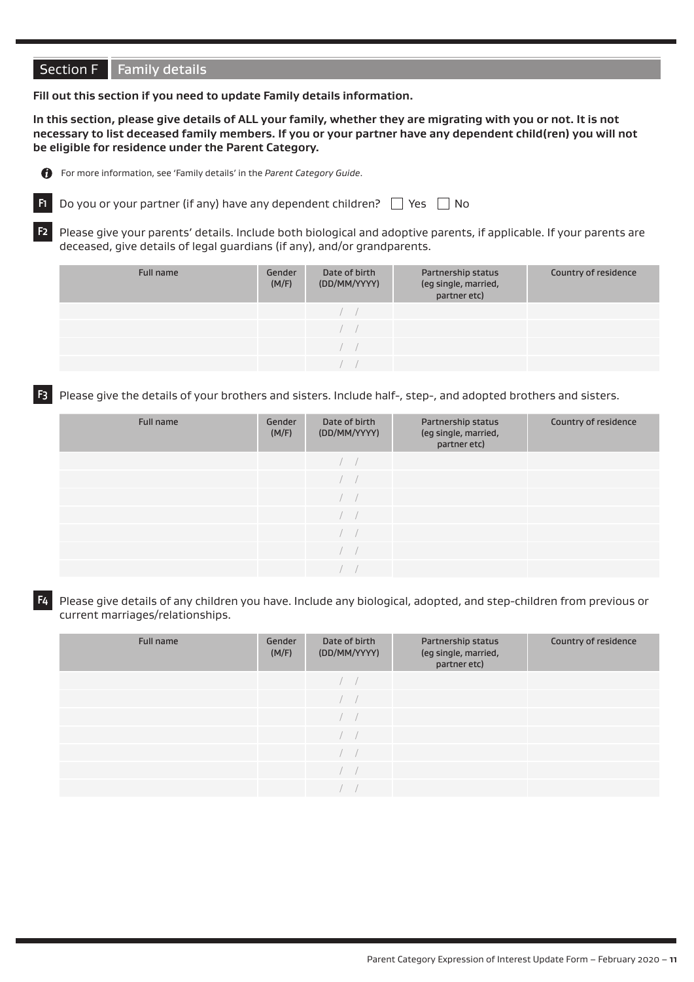# Section F Family details

**Fill out this section if you need to update Family details information.**

**In this section, please give details of ALL your family, whether they are migrating with you or not. It is not necessary to list deceased family members. If you or your partner have any dependent child(ren) you will not be eligible for residence under the Parent Category.**



For more information, see 'Family details' in the *Parent Category Guide*.



**F2** Please give your parents' details. Include both biological and adoptive parents, if applicable. If your parents are deceased, give details of legal guardians (if any), and/or grandparents.

| Full name | Gender<br>(M/F) | Date of birth<br>(DD/MM/YYYY) | Partnership status<br>(eg single, married,<br>partner etc) | Country of residence |
|-----------|-----------------|-------------------------------|------------------------------------------------------------|----------------------|
|           |                 | $\sqrt{2}$                    |                                                            |                      |
|           |                 | $\sqrt{2}$                    |                                                            |                      |
|           |                 |                               |                                                            |                      |
|           |                 |                               |                                                            |                      |

**F3** Please give the details of your brothers and sisters. Include half-, step-, and adopted brothers and sisters.

| Full name | Gender<br>(M/F) | Date of birth<br>(DD/MM/YYYY) | Partnership status<br>(eg single, married,<br>partner etc) | Country of residence |
|-----------|-----------------|-------------------------------|------------------------------------------------------------|----------------------|
|           |                 |                               |                                                            |                      |
|           |                 | <b>Contract</b>               |                                                            |                      |
|           |                 | and a                         |                                                            |                      |
|           |                 |                               |                                                            |                      |
|           |                 | $\sim$                        |                                                            |                      |
|           |                 |                               |                                                            |                      |
|           |                 |                               |                                                            |                      |

**F4** Please give details of any children you have. Include any biological, adopted, and step-children from previous or current marriages/relationships.

| Full name | Gender<br>(M/F) | Date of birth<br>(DD/MM/YYYY) | Partnership status<br>(eg single, married,<br>partner etc) | Country of residence |
|-----------|-----------------|-------------------------------|------------------------------------------------------------|----------------------|
|           |                 |                               |                                                            |                      |
|           |                 |                               |                                                            |                      |
|           |                 |                               |                                                            |                      |
|           |                 |                               |                                                            |                      |
|           |                 |                               |                                                            |                      |
|           |                 |                               |                                                            |                      |
|           |                 |                               |                                                            |                      |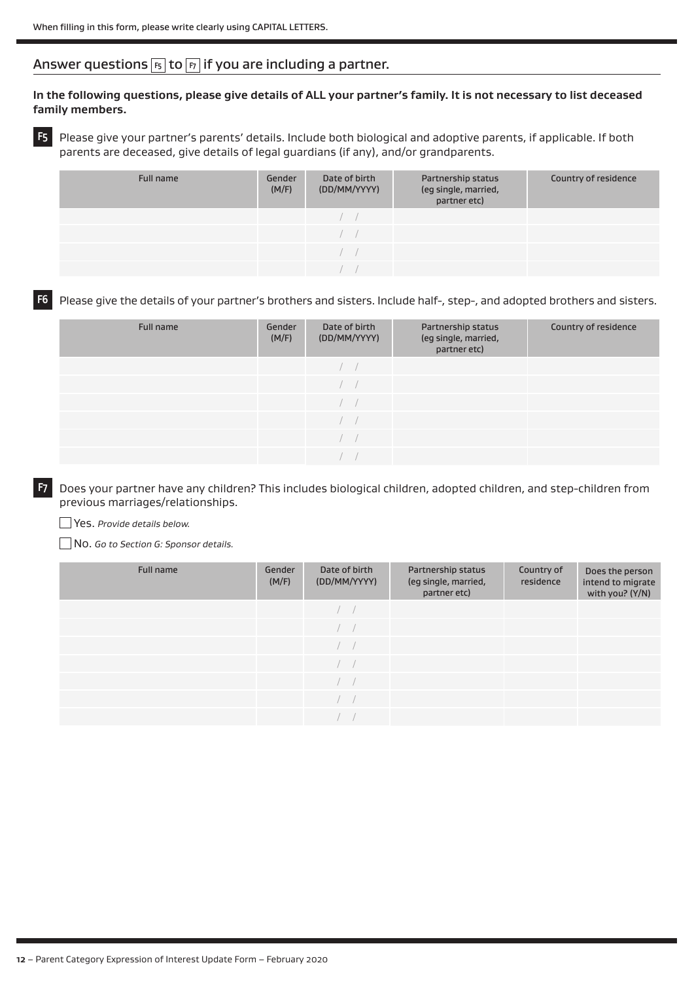# Answer questions **F5** to **F7** if you are including a partner.

#### **In the following questions, please give details of ALL your partner's family. It is not necessary to list deceased family members.**

**F5** Please give your partner's parents' details. Include both biological and adoptive parents, if applicable. If both parents are deceased, give details of legal guardians (if any), and/or grandparents.

| Full name | Gender<br>(M/F) | Date of birth<br>(DD/MM/YYYY) | Partnership status<br>(eg single, married,<br>partner etc) | Country of residence |
|-----------|-----------------|-------------------------------|------------------------------------------------------------|----------------------|
|           |                 |                               |                                                            |                      |
|           |                 |                               |                                                            |                      |
|           |                 |                               |                                                            |                      |
|           |                 |                               |                                                            |                      |

#### **F6** Please give the details of your partner's brothers and sisters. Include half-, step-, and adopted brothers and sisters.

| Full name | Gender<br>(M/F) | Date of birth<br>(DD/MM/YYYY) | Partnership status<br>(eg single, married,<br>partner etc) | Country of residence |
|-----------|-----------------|-------------------------------|------------------------------------------------------------|----------------------|
|           |                 |                               |                                                            |                      |
|           |                 |                               |                                                            |                      |
|           |                 |                               |                                                            |                      |
|           |                 |                               |                                                            |                      |
|           |                 |                               |                                                            |                      |
|           |                 |                               |                                                            |                      |

**F7** Does your partner have any children? This includes biological children, adopted children, and step-children from previous marriages/relationships.

#### Yes. *Provide details below.*

No. *Go to Section G: Sponsor details.*

| Full name | Gender<br>(M/F) | Date of birth<br>(DD/MM/YYYY) | Partnership status<br>(eg single, married,<br>partner etc) | Country of<br>residence | Does the person<br>intend to migrate<br>with you? (Y/N) |
|-----------|-----------------|-------------------------------|------------------------------------------------------------|-------------------------|---------------------------------------------------------|
|           |                 | mark of                       |                                                            |                         |                                                         |
|           |                 | $\sim$                        |                                                            |                         |                                                         |
|           |                 | $\sim$                        |                                                            |                         |                                                         |
|           |                 |                               |                                                            |                         |                                                         |
|           |                 |                               |                                                            |                         |                                                         |
|           |                 |                               |                                                            |                         |                                                         |
|           |                 |                               |                                                            |                         |                                                         |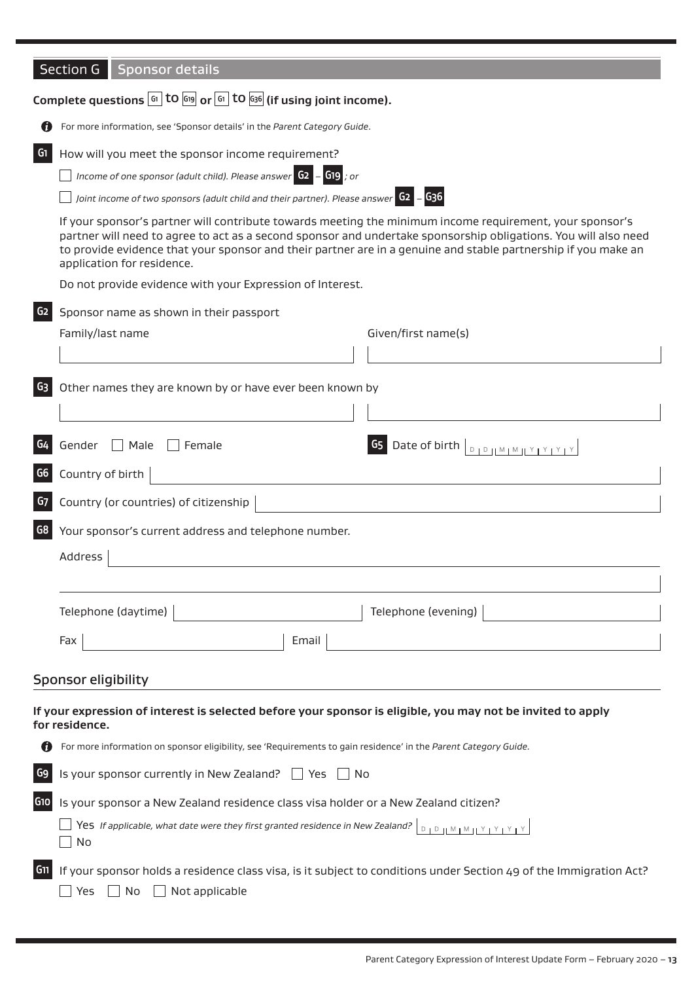|                | Section G<br><b>Sponsor details</b>                                                                                                                                                                                                                                                                                                                                         |  |  |  |  |
|----------------|-----------------------------------------------------------------------------------------------------------------------------------------------------------------------------------------------------------------------------------------------------------------------------------------------------------------------------------------------------------------------------|--|--|--|--|
|                | Complete questions $\boxed{61}$ tO $\boxed{619}$ or $\boxed{61}$ tO $\boxed{636}$ (if using joint income).                                                                                                                                                                                                                                                                  |  |  |  |  |
|                | For more information, see 'Sponsor details' in the Parent Category Guide.                                                                                                                                                                                                                                                                                                   |  |  |  |  |
| G <sub>1</sub> | How will you meet the sponsor income requirement?                                                                                                                                                                                                                                                                                                                           |  |  |  |  |
|                | Income of one sponsor (adult child). Please answer $\begin{bmatrix} 62 \\ -619 \end{bmatrix}$ ; or                                                                                                                                                                                                                                                                          |  |  |  |  |
|                | Joint income of two sponsors (adult child and their partner). Please answer G2 - G36                                                                                                                                                                                                                                                                                        |  |  |  |  |
|                | If your sponsor's partner will contribute towards meeting the minimum income requirement, your sponsor's<br>partner will need to agree to act as a second sponsor and undertake sponsorship obligations. You will also need<br>to provide evidence that your sponsor and their partner are in a genuine and stable partnership if you make an<br>application for residence. |  |  |  |  |
|                | Do not provide evidence with your Expression of Interest.                                                                                                                                                                                                                                                                                                                   |  |  |  |  |
| G <sub>2</sub> | Sponsor name as shown in their passport                                                                                                                                                                                                                                                                                                                                     |  |  |  |  |
|                | Family/last name<br>Given/first name(s)                                                                                                                                                                                                                                                                                                                                     |  |  |  |  |
|                |                                                                                                                                                                                                                                                                                                                                                                             |  |  |  |  |
| G3             | Other names they are known by or have ever been known by                                                                                                                                                                                                                                                                                                                    |  |  |  |  |
|                |                                                                                                                                                                                                                                                                                                                                                                             |  |  |  |  |
|                |                                                                                                                                                                                                                                                                                                                                                                             |  |  |  |  |
| G4             | G5 Date of birth D D M M Y Y Y Y<br>Gender<br>$\Box$ Male<br>$\Box$ Female                                                                                                                                                                                                                                                                                                  |  |  |  |  |
| G6             | Country of birth                                                                                                                                                                                                                                                                                                                                                            |  |  |  |  |
| G7             | Country (or countries) of citizenship                                                                                                                                                                                                                                                                                                                                       |  |  |  |  |
| G8             | Your sponsor's current address and telephone number.                                                                                                                                                                                                                                                                                                                        |  |  |  |  |
|                | Address                                                                                                                                                                                                                                                                                                                                                                     |  |  |  |  |
|                |                                                                                                                                                                                                                                                                                                                                                                             |  |  |  |  |
|                |                                                                                                                                                                                                                                                                                                                                                                             |  |  |  |  |
|                | Telephone (evening)<br>Telephone (daytime)                                                                                                                                                                                                                                                                                                                                  |  |  |  |  |
|                | Fax<br>Email                                                                                                                                                                                                                                                                                                                                                                |  |  |  |  |
|                |                                                                                                                                                                                                                                                                                                                                                                             |  |  |  |  |
|                | <b>Sponsor eligibility</b>                                                                                                                                                                                                                                                                                                                                                  |  |  |  |  |
|                | If your expression of interest is selected before your sponsor is eligible, you may not be invited to apply<br>for residence.                                                                                                                                                                                                                                               |  |  |  |  |
|                | For more information on sponsor eligibility, see 'Requirements to gain residence' in the Parent Category Guide.                                                                                                                                                                                                                                                             |  |  |  |  |
| G9             | Is your sponsor currently in New Zealand? $\Box$ Yes $\Box$ No                                                                                                                                                                                                                                                                                                              |  |  |  |  |
| G10            | Is your sponsor a New Zealand residence class visa holder or a New Zealand citizen?                                                                                                                                                                                                                                                                                         |  |  |  |  |
|                | Yes If applicable, what date were they first granted residence in New Zealand? $\lfloor$ D $\lfloor$ M $\lfloor$ M $\lfloor$ M $\rfloor$ Y $\rfloor$ Y $\lfloor$ Y $\rfloor$ Y $\lfloor$ Y $\rfloor$ Y $\lfloor$ Y $\rfloor$ Y $\lfloor$ Y $\rfloor$ Y $\lfloor$ Y $\rfloor$ Y $\lfloor$ Y $\rfloor$<br>No                                                                  |  |  |  |  |
| G11            | If your sponsor holds a residence class visa, is it subject to conditions under Section 49 of the Immigration Act?<br>No<br>Not applicable<br>Yes                                                                                                                                                                                                                           |  |  |  |  |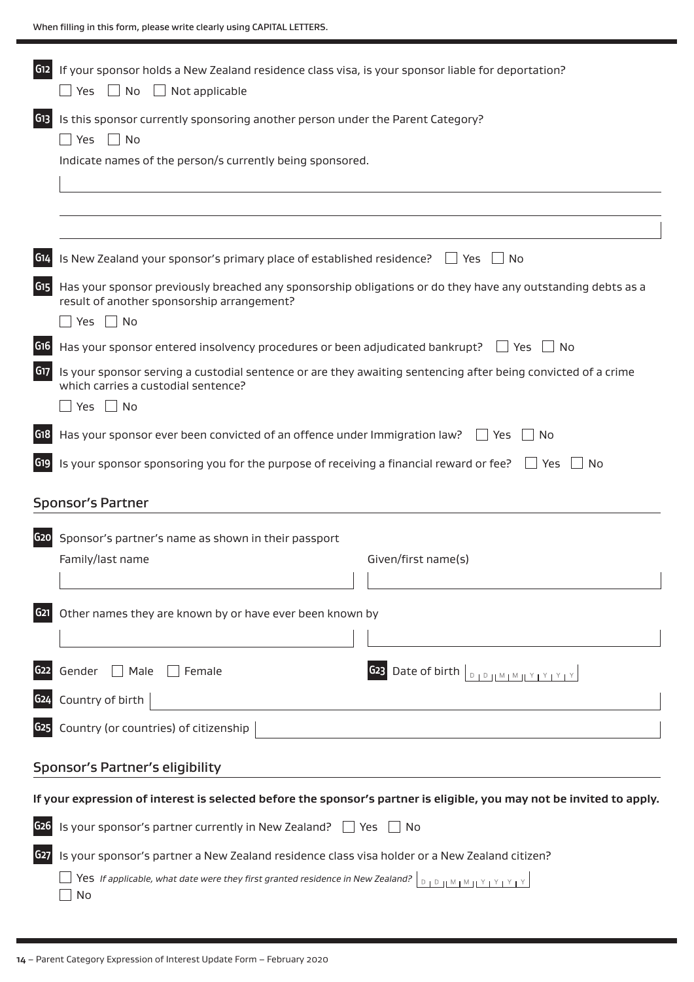| G12             | If your sponsor holds a New Zealand residence class visa, is your sponsor liable for deportation?<br>Yes<br>No<br>$\Box$ Not applicable                                  |  |  |  |
|-----------------|--------------------------------------------------------------------------------------------------------------------------------------------------------------------------|--|--|--|
| G13             | Is this sponsor currently sponsoring another person under the Parent Category?<br>Yes<br>$\vert$ $\vert$ No<br>Indicate names of the person/s currently being sponsored. |  |  |  |
|                 |                                                                                                                                                                          |  |  |  |
| G14             | Is New Zealand your sponsor's primary place of established residence?<br>$\Box$ Yes<br><b>No</b>                                                                         |  |  |  |
| G <sub>15</sub> | Has your sponsor previously breached any sponsorship obligations or do they have any outstanding debts as a<br>result of another sponsorship arrangement?                |  |  |  |
|                 | Yes $\Box$ No                                                                                                                                                            |  |  |  |
| G16             | Has your sponsor entered insolvency procedures or been adjudicated bankrupt? Fig. Yes<br>∣No                                                                             |  |  |  |
| G17             | Is your sponsor serving a custodial sentence or are they awaiting sentencing after being convicted of a crime<br>which carries a custodial sentence?                     |  |  |  |
|                 | $\Box$ No<br>Yes                                                                                                                                                         |  |  |  |
| G18             | Has your sponsor ever been convicted of an offence under Immigration law?<br>No<br>l Yes                                                                                 |  |  |  |
| G19             | Is your sponsor sponsoring you for the purpose of receiving a financial reward or fee?<br>$\vert$   Yes<br>No<br><b>Sponsor's Partner</b>                                |  |  |  |
|                 |                                                                                                                                                                          |  |  |  |
| G <sub>20</sub> | Sponsor's partner's name as shown in their passport                                                                                                                      |  |  |  |
|                 | Family/last name<br>Given/first name(s)                                                                                                                                  |  |  |  |
| G <sub>21</sub> | Other names they are known by or have ever been known by                                                                                                                 |  |  |  |
|                 |                                                                                                                                                                          |  |  |  |
| G <sub>22</sub> | $\Box$ Male<br><b>G23</b> Date of birth $\vert_{\Box_1\Box_1 \mathbb{M}_1 \mathbb{M}_1 \mathbb{M}_2 \mathbb{M}_3 \mathbb{M}_4}$<br>Gender<br>$\Box$ Female               |  |  |  |
| G <sub>24</sub> | Country of birth                                                                                                                                                         |  |  |  |
| G <sub>25</sub> | Country (or countries) of citizenship                                                                                                                                    |  |  |  |
|                 | Sponsor's Partner's eligibility                                                                                                                                          |  |  |  |
|                 | If your expression of interest is selected before the sponsor's partner is eligible, you may not be invited to apply.                                                    |  |  |  |
| G <sub>26</sub> | Is your sponsor's partner currently in New Zealand? $\Box$ Yes<br>∣ ∣No                                                                                                  |  |  |  |
| G <sub>27</sub> | Is your sponsor's partner a New Zealand residence class visa holder or a New Zealand citizen?                                                                            |  |  |  |
|                 | Yes If applicable, what date were they first granted residence in New Zealand?<br>$D + D + M + M + Y + Y + Y + Y$<br>No                                                  |  |  |  |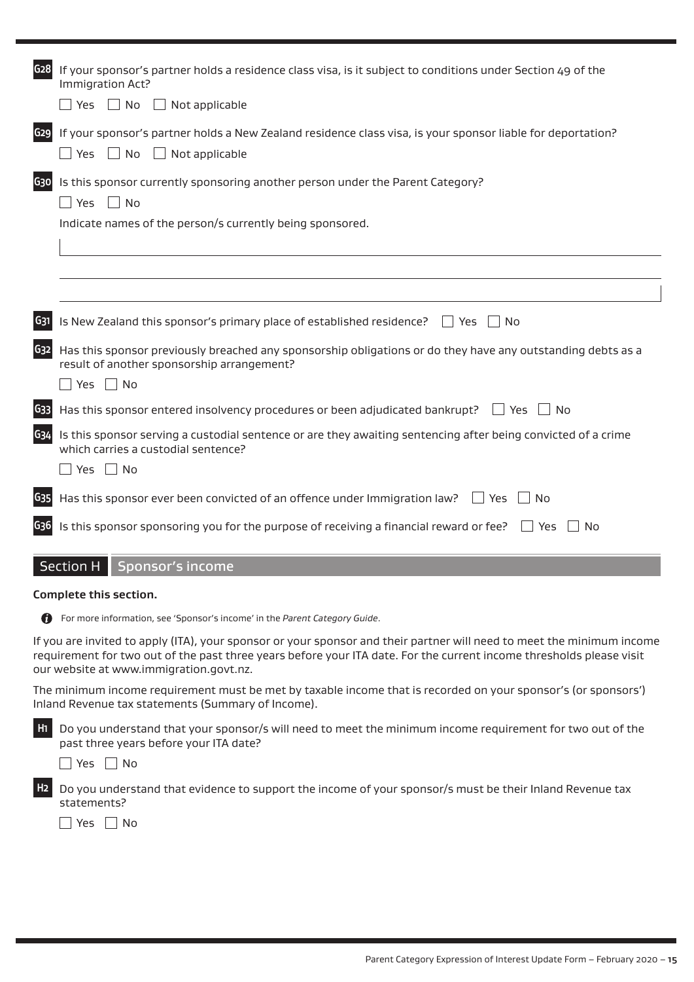| G <sub>28</sub> | If your sponsor's partner holds a residence class visa, is it subject to conditions under Section 49 of the<br>Immigration Act?<br>$\Box$ No<br>Yes<br>$\Box$ Not applicable                                                                                                              |
|-----------------|-------------------------------------------------------------------------------------------------------------------------------------------------------------------------------------------------------------------------------------------------------------------------------------------|
|                 |                                                                                                                                                                                                                                                                                           |
| G29             | If your sponsor's partner holds a New Zealand residence class visa, is your sponsor liable for deportation?<br>$\Box$ No<br>$\Box$ Not applicable<br>$\blacksquare$ Yes                                                                                                                   |
| G30             | Is this sponsor currently sponsoring another person under the Parent Category?<br>No<br>Yes                                                                                                                                                                                               |
|                 | Indicate names of the person/s currently being sponsored.                                                                                                                                                                                                                                 |
|                 |                                                                                                                                                                                                                                                                                           |
| G31             | Is New Zealand this sponsor's primary place of established residence?<br>No<br>$ $ Yes                                                                                                                                                                                                    |
| G <sub>32</sub> | Has this sponsor previously breached any sponsorship obligations or do they have any outstanding debts as a<br>result of another sponsorship arrangement?                                                                                                                                 |
|                 | $\Box$ No<br>Yes                                                                                                                                                                                                                                                                          |
| G <sub>33</sub> | Has this sponsor entered insolvency procedures or been adjudicated bankrupt? $\Box$ Yes<br>l No                                                                                                                                                                                           |
| G34             | Is this sponsor serving a custodial sentence or are they awaiting sentencing after being convicted of a crime<br>which carries a custodial sentence?                                                                                                                                      |
|                 | Yes $\Box$ No                                                                                                                                                                                                                                                                             |
| G <sub>35</sub> | Has this sponsor ever been convicted of an offence under Immigration law?<br>l Yes<br>No                                                                                                                                                                                                  |
| G <sub>36</sub> | Is this sponsor sponsoring you for the purpose of receiving a financial reward or fee?<br>$\overline{\phantom{a}}$ No<br>Yes                                                                                                                                                              |
|                 | <b>Section H</b><br><b>Sponsor's income</b>                                                                                                                                                                                                                                               |
|                 | Complete this section.                                                                                                                                                                                                                                                                    |
|                 | <b>C</b> For more information, see 'Sponsor's income' in the Parent Category Guide.                                                                                                                                                                                                       |
|                 | If you are invited to apply (ITA), your sponsor or your sponsor and their partner will need to meet the minimum income<br>requirement for two out of the past three years before your ITA date. For the current income thresholds please visit<br>our website at www.immigration.govt.nz. |
|                 | The minimum income requirement must be met by taxable income that is recorded on your sponsor's (or sponsors')<br>Inland Revenue tax statements (Summary of Income).                                                                                                                      |
| H <sub>1</sub>  | Do you understand that your sponsor/s will need to meet the minimum income requirement for two out of the<br>past three years before your ITA date?                                                                                                                                       |
|                 | Yes $\Box$ No                                                                                                                                                                                                                                                                             |
| H <sub>2</sub>  | Do you understand that evidence to support the income of your sponsor/s must be their Inland Revenue tax<br>statements?                                                                                                                                                                   |
|                 | Yes $\Box$ No                                                                                                                                                                                                                                                                             |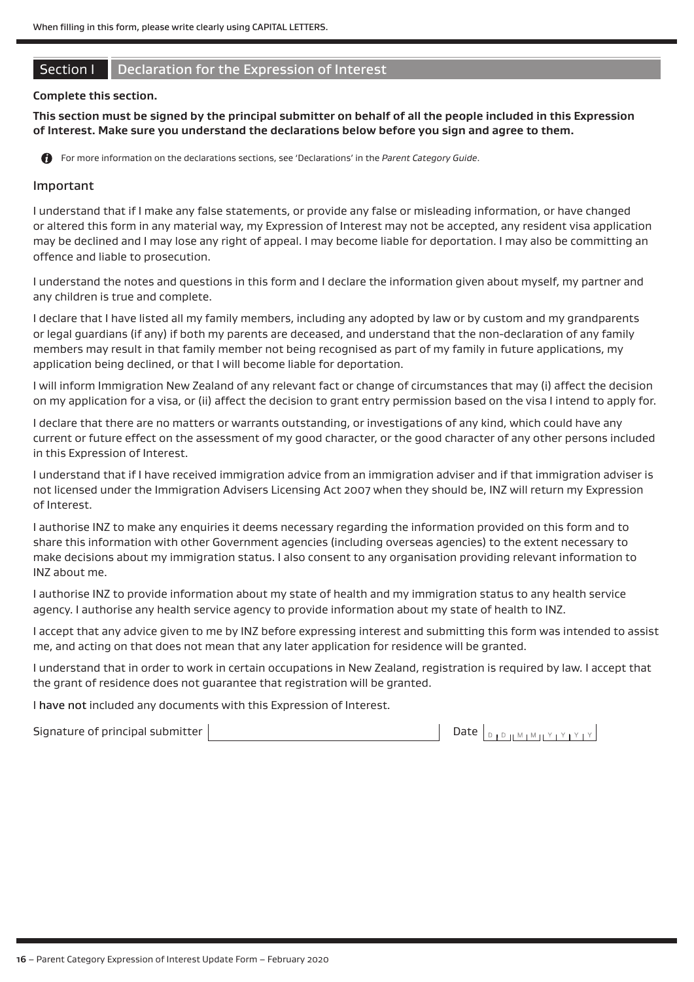# Section I Declaration for the Expression of Interest

#### **Complete this section.**

**This section must be signed by the principal submitter on behalf of all the people included in this Expression of Interest. Make sure you understand the declarations below before you sign and agree to them.**

For more information on the declarations sections, see 'Declarations' in the *Parent Category Guide*.

#### Important

I understand that if I make any false statements, or provide any false or misleading information, or have changed or altered this form in any material way, my Expression of Interest may not be accepted, any resident visa application may be declined and I may lose any right of appeal. I may become liable for deportation. I may also be committing an offence and liable to prosecution.

I understand the notes and questions in this form and I declare the information given about myself, my partner and any children is true and complete.

I declare that I have listed all my family members, including any adopted by law or by custom and my grandparents or legal guardians (if any) if both my parents are deceased, and understand that the non-declaration of any family members may result in that family member not being recognised as part of my family in future applications, my application being declined, or that I will become liable for deportation.

I will inform Immigration New Zealand of any relevant fact or change of circumstances that may (i) affect the decision on my application for a visa, or (ii) affect the decision to grant entry permission based on the visa I intend to apply for.

I declare that there are no matters or warrants outstanding, or investigations of any kind, which could have any current or future effect on the assessment of my good character, or the good character of any other persons included in this Expression of Interest.

I understand that if I have received immigration advice from an immigration adviser and if that immigration adviser is not licensed under the Immigration Advisers Licensing Act 2007 when they should be, INZ will return my Expression of Interest.

I authorise INZ to make any enquiries it deems necessary regarding the information provided on this form and to share this information with other Government agencies (including overseas agencies) to the extent necessary to make decisions about my immigration status. I also consent to any organisation providing relevant information to INZ about me.

I authorise INZ to provide information about my state of health and my immigration status to any health service agency. I authorise any health service agency to provide information about my state of health to INZ.

I accept that any advice given to me by INZ before expressing interest and submitting this form was intended to assist me, and acting on that does not mean that any later application for residence will be granted.

I understand that in order to work in certain occupations in New Zealand, registration is required by law. I accept that the grant of residence does not guarantee that registration will be granted.

I have not included any documents with this Expression of Interest.

| Signature of principal submitter |  |
|----------------------------------|--|
|                                  |  |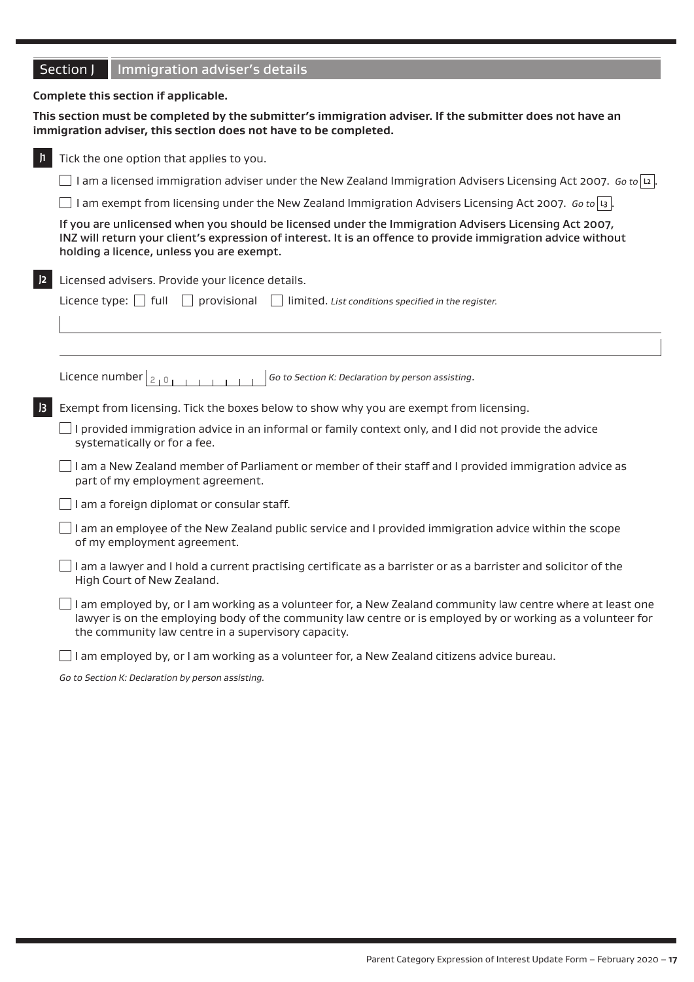|  |  | Section J   Immigration adviser's details |
|--|--|-------------------------------------------|
|--|--|-------------------------------------------|

#### **Complete this section if applicable.**

**This section must be completed by the submitter's immigration adviser. If the submitter does not have an immigration adviser, this section does not have to be completed.**

| h         | Tick the one option that applies to you.                                                                                                                                                                                                                                          |
|-----------|-----------------------------------------------------------------------------------------------------------------------------------------------------------------------------------------------------------------------------------------------------------------------------------|
|           | I am a licensed immigration adviser under the New Zealand Immigration Advisers Licensing Act 2007. Go to  2                                                                                                                                                                       |
|           | I am exempt from licensing under the New Zealand Immigration Advisers Licensing Act 2007. Go to   is  .                                                                                                                                                                           |
|           | If you are unlicensed when you should be licensed under the Immigration Advisers Licensing Act 2007,<br>INZ will return your client's expression of interest. It is an offence to provide immigration advice without<br>holding a licence, unless you are exempt.                 |
| 2         | Licensed advisers. Provide your licence details.                                                                                                                                                                                                                                  |
|           | Licence type: $\Box$ full<br>provisional<br>limited. List conditions specified in the register.                                                                                                                                                                                   |
|           |                                                                                                                                                                                                                                                                                   |
|           |                                                                                                                                                                                                                                                                                   |
|           | Licence number $ _{2+0}$<br>Go to Section K: Declaration by person assisting.                                                                                                                                                                                                     |
| $\vert$ 3 | Exempt from licensing. Tick the boxes below to show why you are exempt from licensing.                                                                                                                                                                                            |
|           | I provided immigration advice in an informal or family context only, and I did not provide the advice<br>systematically or for a fee.                                                                                                                                             |
|           | I am a New Zealand member of Parliament or member of their staff and I provided immigration advice as<br>part of my employment agreement.                                                                                                                                         |
|           | I am a foreign diplomat or consular staff.                                                                                                                                                                                                                                        |
|           | I am an employee of the New Zealand public service and I provided immigration advice within the scope<br>of my employment agreement.                                                                                                                                              |
|           | I am a lawyer and I hold a current practising certificate as a barrister or as a barrister and solicitor of the<br>High Court of New Zealand.                                                                                                                                     |
|           | I am employed by, or I am working as a volunteer for, a New Zealand community law centre where at least one<br>lawyer is on the employing body of the community law centre or is employed by or working as a volunteer for<br>the community law centre in a supervisory capacity. |
|           |                                                                                                                                                                                                                                                                                   |

 $\Box$  I am employed by, or I am working as a volunteer for, a New Zealand citizens advice bureau.

*Go to Section K: Declaration by person assisting.*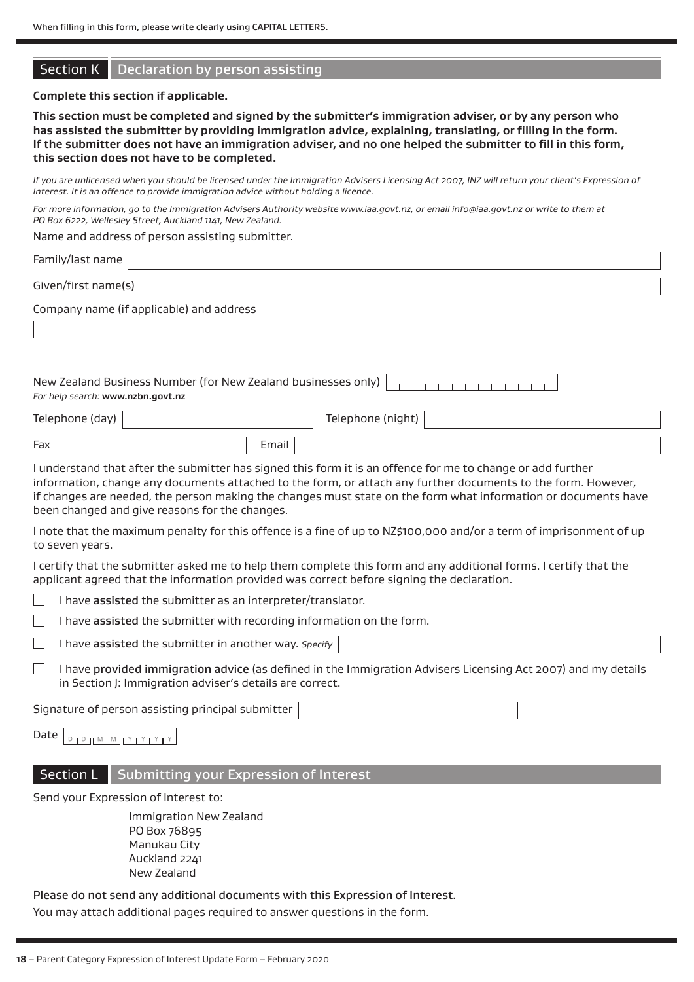### **Section K** Declaration by person assisting

#### **Complete this section if applicable.**

**This section must be completed and signed by the submitter's immigration adviser, or by any person who has assisted the submitter by providing immigration advice, explaining, translating, or filling in the form. If the submitter does not have an immigration adviser, and no one helped the submitter to fill in this form, this section does not have to be completed.**

*If you are unlicensed when you should be licensed under the Immigration Advisers Licensing Act 2007, INZ will return your client's Expression of Interest. It is an offence to provide immigration advice without holding a licence.*

*For more information, go to the Immigration Advisers Authority website www.iaa.govt.nz, or email info@iaa.govt.nz or write to them at PO Box 6222, Wellesley Street, Auckland 1141, New Zealand.*

Name and address of person assisting submitter.

Family/last name

Given/first name(s)

Company name (if applicable) and address

| For help search: www.nzbn.govt.nz |                   |
|-----------------------------------|-------------------|
| Telephone (day) $\vert$           | Telephone (night) |

Fax Fax Formail

I understand that after the submitter has signed this form it is an offence for me to change or add further information, change any documents attached to the form, or attach any further documents to the form. However, if changes are needed, the person making the changes must state on the form what information or documents have been changed and give reasons for the changes.

I note that the maximum penalty for this offence is a fine of up to NZ\$100,000 and/or a term of imprisonment of up to seven years.

I certify that the submitter asked me to help them complete this form and any additional forms. I certify that the applicant agreed that the information provided was correct before signing the declaration.

I have assisted the submitter as an interpreter/translator.

I have assisted the submitter with recording information on the form.

I have assisted the submitter in another way. *Specify*

I have provided immigration advice (as defined in the Immigration Advisers Licensing Act 2007) and my details in Section J: Immigration adviser's details are correct.

Signature of person assisting principal submitter

Date  $\begin{smallmatrix}\nD & D & D & D & M & M & M & M & Y & Y & Y & Y\n\end{smallmatrix}$ 

# Section L Submitting your Expression of Interest

Send your Expression of Interest to:

Immigration New Zealand PO Box 76895 Manukau City Auckland 2241 New Zealand

Please do not send any additional documents with this Expression of Interest.

You may attach additional pages required to answer questions in the form.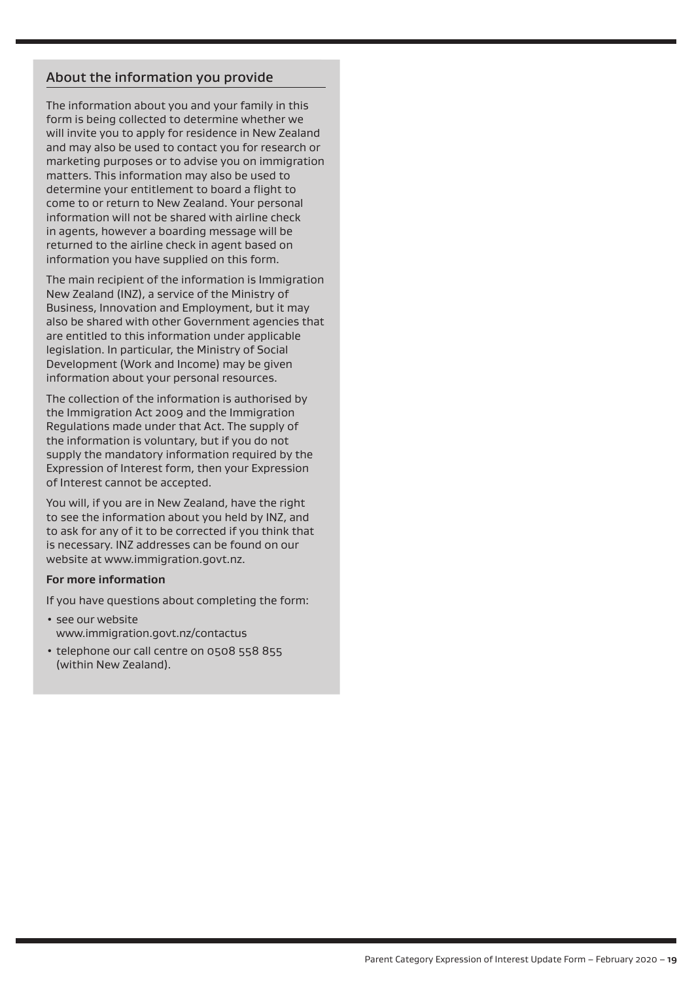# About the information you provide

The information about you and your family in this form is being collected to determine whether we will invite you to apply for residence in New Zealand and may also be used to contact you for research or marketing purposes or to advise you on immigration matters. This information may also be used to determine your entitlement to board a flight to come to or return to New Zealand. Your personal information will not be shared with airline check in agents, however a boarding message will be returned to the airline check in agent based on information you have supplied on this form.

The main recipient of the information is Immigration New Zealand (INZ), a service of the Ministry of Business, Innovation and Employment, but it may also be shared with other Government agencies that are entitled to this information under applicable legislation. In particular, the Ministry of Social Development (Work and Income) may be given information about your personal resources.

The collection of the information is authorised by the Immigration Act 2009 and the Immigration Regulations made under that Act. The supply of the information is voluntary, but if you do not supply the mandatory information required by the Expression of Interest form, then your Expression of Interest cannot be accepted.

You will, if you are in New Zealand, have the right to see the information about you held by INZ, and to ask for any of it to be corrected if you think that is necessary. INZ addresses can be found on our website at www.immigration.govt.nz.

#### **For more information**

If you have questions about completing the form:

- see our website www.immigration.govt.nz/contactus
- telephone our call centre on 0508 558 855 (within New Zealand).